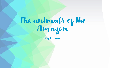# The animals of the Amazon

By Emma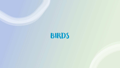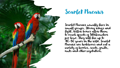

#### Scarlet Macaws

Scarlet Macaws usually lives in small groups. Strong wings and light, hollow bones allow them to reach speeds of 56kilometers per hour. They will live up to 40-50 years in the wild. Scarlet Macaws are herbivores and eat a variety of berries, seeds, fruits, nuts and other vegetation.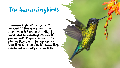### The hummingbirds

A hummingbird's wings beat around 53 times a second, the most recorded on an Amethyst wood-star hummingbird was 80 per second! As you can see in the picture they like to lap up nectar with their long, hollow tongues, they like to eat a variety of insects too.

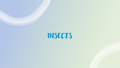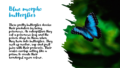#### Blue morpho butterflies

These pretty butterflies deceive their predators by being poisonous. As caterpillars they eat a poisonous leaf and the poison stays in them when they turn into butterflies. They suck up nectar, sap and fruit juice with their proboscis. Their scales overlap acting like a prism to create their wonderful azure colour.

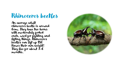#### Rhinoceros beetles

An average adult rhinoceros beetle is around 6cm. They have two horns with moderately forked ends, used for fighting and lifting things. Rhinoceros beetles can lift up 850 times their own weight! They live for about 3-6 months.

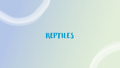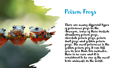

## Poison Frogs

There are many different types of poisonous frogs in the Amazon, some of these include strawberry poison frogs, chocolate poison frogs, poison dart frogs and golden poison frogs. The most poisonous is the golden poison frog it can kill you in less than ten minutes, there is no cure and it is considered to be one of the most toxic animals in the world.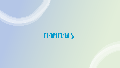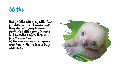#### **Sloths**

Baby sloths will stay with their parents from 2-4 years, but they stop clinging to their mother's bellies from 5 weeks to 6 months (when they can feed themselves). Sloths can live up to 20 years and have a diet of leaves bugs and twigs.

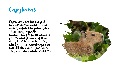

Capybaras are the largest rodents in the world and are closely related to guineapigs. These semi aquatic mammals graze on aquatic plants and grasses, if their  $\overline{\phantom{a}}$ dung is rich in protein they will eat it too! Capybaras can run 35 kilometers per hour. They can sleep underwater too!